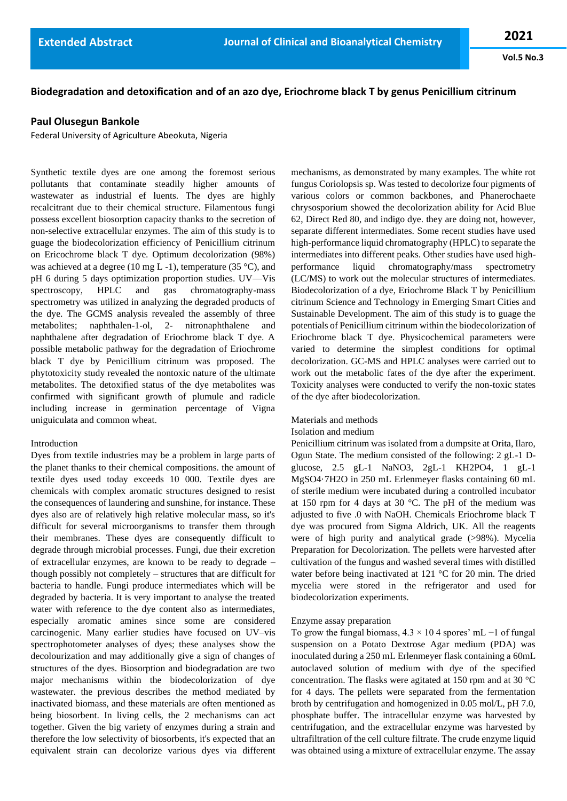**Vol.5 No.3**

# **Biodegradation and detoxification and of an azo dye, Eriochrome black T by genus Penicillium citrinum**

# **Paul Olusegun Bankole**

Federal University of Agriculture Abeokuta, Nigeria

Synthetic textile dyes are one among the foremost serious pollutants that contaminate steadily higher amounts of wastewater as industrial ef luents. The dyes are highly recalcitrant due to their chemical structure. Filamentous fungi possess excellent biosorption capacity thanks to the secretion of non-selective extracellular enzymes. The aim of this study is to guage the biodecolorization efficiency of Penicillium citrinum on Ericochrome black T dye. Optimum decolorization (98%) was achieved at a degree (10 mg L -1), temperature (35  $^{\circ}$ C), and pH 6 during 5 days optimization proportion studies. UV—Vis spectroscopy, HPLC and gas chromatography-mass spectrometry was utilized in analyzing the degraded products of the dye. The GCMS analysis revealed the assembly of three metabolites; naphthalen-1-ol, 2- nitronaphthalene and naphthalene after degradation of Eriochrome black T dye. A possible metabolic pathway for the degradation of Eriochrome black T dye by Penicillium citrinum was proposed. The phytotoxicity study revealed the nontoxic nature of the ultimate metabolites. The detoxified status of the dye metabolites was confirmed with significant growth of plumule and radicle including increase in germination percentage of Vigna uniguiculata and common wheat.

# Introduction

Dyes from textile industries may be a problem in large parts of the planet thanks to their chemical compositions. the amount of textile dyes used today exceeds 10 000. Textile dyes are chemicals with complex aromatic structures designed to resist the consequences of laundering and sunshine, for instance. These dyes also are of relatively high relative molecular mass, so it's difficult for several microorganisms to transfer them through their membranes. These dyes are consequently difficult to degrade through microbial processes. Fungi, due their excretion of extracellular enzymes, are known to be ready to degrade – though possibly not completely – structures that are difficult for bacteria to handle. Fungi produce intermediates which will be degraded by bacteria. It is very important to analyse the treated water with reference to the dye content also as intermediates, especially aromatic amines since some are considered carcinogenic. Many earlier studies have focused on UV–vis spectrophotometer analyses of dyes; these analyses show the decolourization and may additionally give a sign of changes of structures of the dyes. Biosorption and biodegradation are two major mechanisms within the biodecolorization of dye wastewater. the previous describes the method mediated by inactivated biomass, and these materials are often mentioned as being biosorbent. In living cells, the 2 mechanisms can act together. Given the big variety of enzymes during a strain and therefore the low selectivity of biosorbents, it's expected that an equivalent strain can decolorize various dyes via different mechanisms, as demonstrated by many examples. The white rot fungus Coriolopsis sp. Was tested to decolorize four pigments of various colors or common backbones, and Phanerochaete chrysosporium showed the decolorization ability for Acid Blue 62, Direct Red 80, and indigo dye. they are doing not, however, separate different intermediates. Some recent studies have used high-performance liquid chromatography (HPLC) to separate the intermediates into different peaks. Other studies have used highperformance liquid chromatography/mass spectrometry (LC/MS) to work out the molecular structures of intermediates. Biodecolorization of a dye, Eriochrome Black T by Penicillium citrinum Science and Technology in Emerging Smart Cities and Sustainable Development. The aim of this study is to guage the potentials of Penicillium citrinum within the biodecolorization of Eriochrome black T dye. Physicochemical parameters were varied to determine the simplest conditions for optimal decolorization. GC-MS and HPLC analyses were carried out to work out the metabolic fates of the dye after the experiment. Toxicity analyses were conducted to verify the non-toxic states of the dye after biodecolorization.

### Materials and methods

#### Isolation and medium

Penicillium citrinum was isolated from a dumpsite at Orita, Ilaro, Ogun State. The medium consisted of the following: 2 gL-1 Dglucose, 2.5 gL-1 NaNO3, 2gL-1 KH2PO4, 1 gL-1 MgSO4·7H2O in 250 mL Erlenmeyer flasks containing 60 mL of sterile medium were incubated during a controlled incubator at 150 rpm for 4 days at 30 °C. The pH of the medium was adjusted to five .0 with NaOH. Chemicals Eriochrome black T dye was procured from Sigma Aldrich, UK. All the reagents were of high purity and analytical grade (>98%). Mycelia Preparation for Decolorization. The pellets were harvested after cultivation of the fungus and washed several times with distilled water before being inactivated at 121 °C for 20 min. The dried mycelia were stored in the refrigerator and used for biodecolorization experiments.

#### Enzyme assay preparation

To grow the fungal biomass,  $4.3 \times 10.4$  spores' mL −1 of fungal suspension on a Potato Dextrose Agar medium (PDA) was inoculated during a 250 mL Erlenmeyer flask containing a 60mL autoclaved solution of medium with dye of the specified concentration. The flasks were agitated at 150 rpm and at 30 °C for 4 days. The pellets were separated from the fermentation broth by centrifugation and homogenized in 0.05 mol/L, pH 7.0, phosphate buffer. The intracellular enzyme was harvested by centrifugation, and the extracellular enzyme was harvested by ultrafiltration of the cell culture filtrate. The crude enzyme liquid was obtained using a mixture of extracellular enzyme. The assay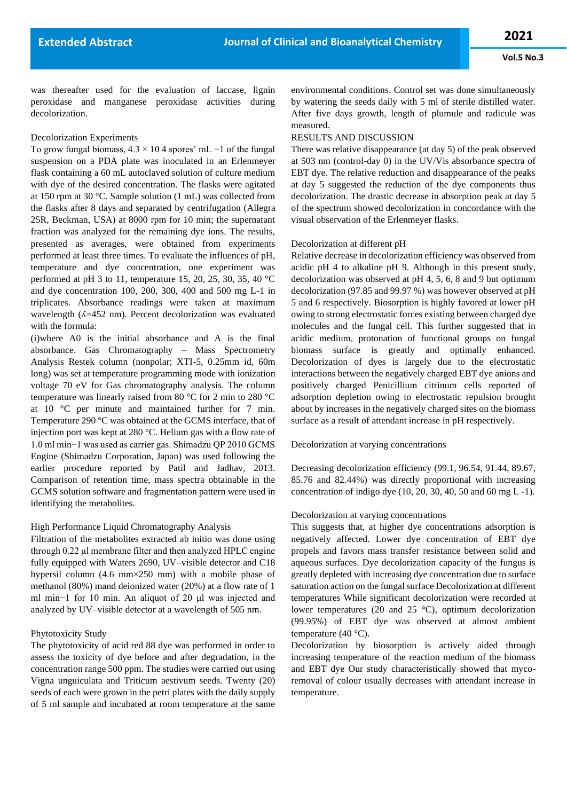was thereafter used for the evaluation of laccase, lignin peroxidase and manganese peroxidase activities during decolorization.

#### Decolorization Experiments

To grow fungal biomass,  $4.3 \times 10.4$  spores' mL −1 of the fungal suspension on a PDA plate was inoculated in an Erlenmeyer flask containing a 60 mL autoclaved solution of culture medium with dye of the desired concentration. The flasks were agitated at 150 rpm at 30 °C. Sample solution (1 mL) was collected from the flasks after 8 days and separated by centrifugation (Allegra 25R, Beckman, USA) at 8000 rpm for 10 min; the supernatant fraction was analyzed for the remaining dye ions. The results, presented as averages, were obtained from experiments performed at least three times. To evaluate the influences of pH, temperature and dye concentration, one experiment was performed at pH 3 to 11, temperature 15, 20, 25, 30, 35, 40  $^{\circ}$ C and dye concentration 100, 200, 300, 400 and 500 mg L-1 in triplicates. Absorbance readings were taken at maximum wavelength  $(A=452 \text{ nm})$ . Percent decolorization was evaluated with the formula:

(i)where A0 is the initial absorbance and A is the final absorbance. Gas Chromatography – Mass Spectrometry Analysis Restek column (nonpolar; XTI-5, 0.25mm id, 60m long) was set at temperature programming mode with ionization voltage 70 eV for Gas chromatography analysis. The column temperature was linearly raised from 80 °C for 2 min to 280 °C at 10 °C per minute and maintained further for 7 min. Temperature 290 °C was obtained at the GCMS interface, that of injection port was kept at 280 °C. Helium gas with a flow rate of 1.0 ml min−1 was used as carrier gas. Shimadzu QP 2010 GCMS Engine (Shimadzu Corporation, Japan) was used following the earlier procedure reported by Patil and Jadhav, 2013. Comparison of retention time, mass spectra obtainable in the GCMS solution software and fragmentation pattern were used in identifying the metabolites.

# High Performance Liquid Chromatography Analysis

Filtration of the metabolites extracted ab initio was done using through 0.22 μl membrane filter and then analyzed HPLC engine fully equipped with Waters 2690, UV–visible detector and C18 hypersil column (4.6 mm×250 mm) with a mobile phase of methanol (80%) mand deionized water (20%) at a flow rate of 1 ml min−1 for 10 min. An aliquot of 20 μl was injected and analyzed by UV–visible detector at a wavelength of 505 nm.

#### Phytotoxicity Study

The phytotoxicity of acid red 88 dye was performed in order to assess the toxicity of dye before and after degradation, in the concentration range 500 ppm. The studies were carried out using Vigna unguiculata and Triticum aestivum seeds. Twenty (20) seeds of each were grown in the petri plates with the daily supply of 5 ml sample and incubated at room temperature at the same

environmental conditions. Control set was done simultaneously by watering the seeds daily with 5 ml of sterile distilled water. After five days growth, length of plumule and radicule was measured.

# RESULTS AND DISCUSSION

There was relative disappearance (at day 5) of the peak observed at 503 nm (control-day 0) in the UV/Vis absorbance spectra of EBT dye. The relative reduction and disappearance of the peaks at day 5 suggested the reduction of the dye components thus decolorization. The drastic decrease in absorption peak at day 5 of the spectrum showed decolorization in concordance with the visual observation of the Erlenmeyer flasks.

# Decolorization at different pH

Relative decrease in decolorization efficiency was observed from acidic pH 4 to alkaline pH 9. Although in this present study, decolorization was observed at pH 4, 5, 6, 8 and 9 but optimum decolorization (97.85 and 99.97 %) was however observed at pH 5 and 6 respectively. Biosorption is highly favored at lower pH owing to strong electrostatic forces existing between charged dye molecules and the fungal cell. This further suggested that in acidic medium, protonation of functional groups on fungal biomass surface is greatly and optimally enhanced. Decolorization of dyes is largely due to the electrostatic interactions between the negatively charged EBT dye anions and positively charged Penicillium citrinum cells reported of adsorption depletion owing to electrostatic repulsion brought about by increases in the negatively charged sites on the biomass surface as a result of attendant increase in pH respectively.

Decolorization at varying concentrations

Decreasing decolorization efficiency (99.1, 96.54, 91.44, 89.67, 85.76 and 82.44%) was directly proportional with increasing concentration of indigo dye (10, 20, 30, 40, 50 and 60 mg L -1).

# Decolorization at varying concentrations

This suggests that, at higher dye concentrations adsorption is negatively affected. Lower dye concentration of EBT dye propels and favors mass transfer resistance between solid and aqueous surfaces. Dye decolorization capacity of the fungus is greatly depleted with increasing dye concentration due to surface saturation action on the fungal surface Decolorization at different temperatures While significant decolorization were recorded at lower temperatures (20 and 25 °C), optimum decolorization (99.95%) of EBT dye was observed at almost ambient temperature (40 °C).

Decolorization by biosorption is actively aided through increasing temperature of the reaction medium of the biomass and EBT dye Our study characteristically showed that mycoremoval of colour usually decreases with attendant increase in temperature.